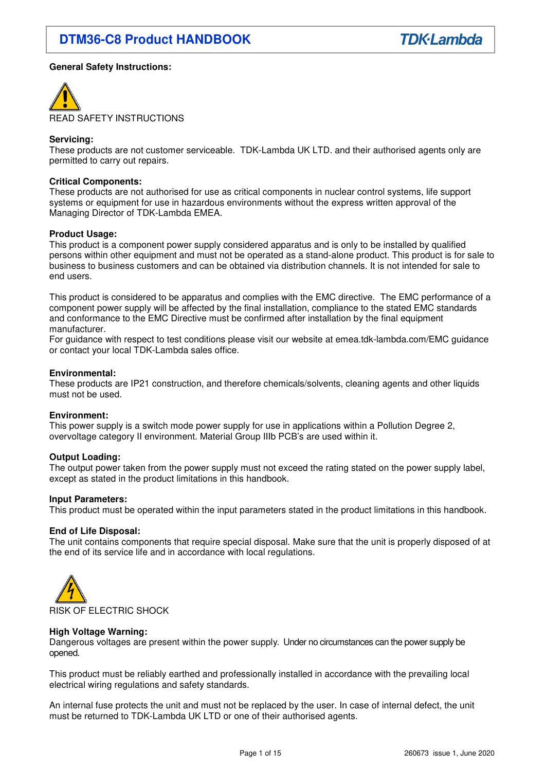## **General Safety Instructions:**



#### **Servicing:**

These products are not customer serviceable. TDK-Lambda UK LTD. and their authorised agents only are permitted to carry out repairs.

#### **Critical Components:**

These products are not authorised for use as critical components in nuclear control systems, life support systems or equipment for use in hazardous environments without the express written approval of the Managing Director of TDK-Lambda EMEA.

#### **Product Usage:**

This product is a component power supply considered apparatus and is only to be installed by qualified persons within other equipment and must not be operated as a stand-alone product. This product is for sale to business to business customers and can be obtained via distribution channels. It is not intended for sale to end users.

This product is considered to be apparatus and complies with the EMC directive. The EMC performance of a component power supply will be affected by the final installation, compliance to the stated EMC standards and conformance to the EMC Directive must be confirmed after installation by the final equipment manufacturer.

For guidance with respect to test conditions please visit our website at emea.tdk-lambda.com/EMC guidance or contact your local TDK-Lambda sales office.

#### **Environmental:**

These products are IP21 construction, and therefore chemicals/solvents, cleaning agents and other liquids must not be used.

#### **Environment:**

This power supply is a switch mode power supply for use in applications within a Pollution Degree 2, overvoltage category II environment. Material Group IIIb PCB's are used within it.

#### **Output Loading:**

The output power taken from the power supply must not exceed the rating stated on the power supply label, except as stated in the product limitations in this handbook.

#### **Input Parameters:**

This product must be operated within the input parameters stated in the product limitations in this handbook.

#### **End of Life Disposal:**

The unit contains components that require special disposal. Make sure that the unit is properly disposed of at the end of its service life and in accordance with local regulations.



#### **High Voltage Warning:**

Dangerous voltages are present within the power supply. Under no circumstances can the power supply be opened.

This product must be reliably earthed and professionally installed in accordance with the prevailing local electrical wiring regulations and safety standards.

An internal fuse protects the unit and must not be replaced by the user. In case of internal defect, the unit must be returned to TDK-Lambda UK LTD or one of their authorised agents.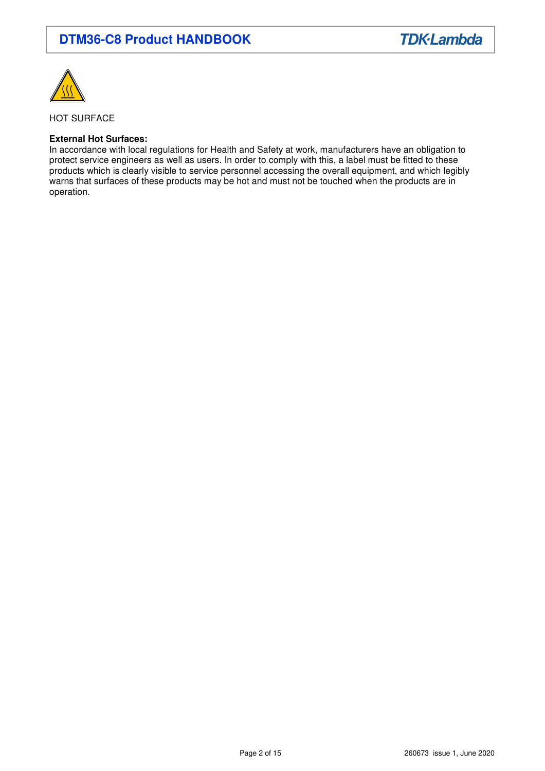

HOT SURFACE

### **External Hot Surfaces:**

In accordance with local regulations for Health and Safety at work, manufacturers have an obligation to protect service engineers as well as users. In order to comply with this, a label must be fitted to these products which is clearly visible to service personnel accessing the overall equipment, and which legibly warns that surfaces of these products may be hot and must not be touched when the products are in operation.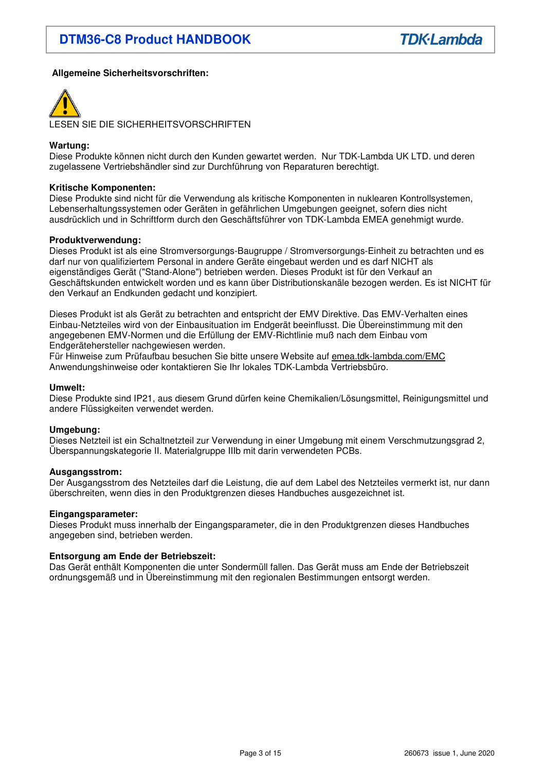## **Allgemeine Sicherheitsvorschriften:**



LESEN SIE DIE SICHERHEITSVORSCHRIFTEN

### **Wartung:**

Diese Produkte können nicht durch den Kunden gewartet werden. Nur TDK-Lambda UK LTD. und deren zugelassene Vertriebshändler sind zur Durchführung von Reparaturen berechtigt.

#### **Kritische Komponenten:**

Diese Produkte sind nicht für die Verwendung als kritische Komponenten in nuklearen Kontrollsystemen, Lebenserhaltungssystemen oder Geräten in gefährlichen Umgebungen geeignet, sofern dies nicht ausdrücklich und in Schriftform durch den Geschäftsführer von TDK-Lambda EMEA genehmigt wurde.

#### **Produktverwendung:**

Dieses Produkt ist als eine Stromversorgungs-Baugruppe / Stromversorgungs-Einheit zu betrachten und es darf nur von qualifiziertem Personal in andere Geräte eingebaut werden und es darf NICHT als eigenständiges Gerät ("Stand-Alone") betrieben werden. Dieses Produkt ist für den Verkauf an Geschäftskunden entwickelt worden und es kann über Distributionskanäle bezogen werden. Es ist NICHT für den Verkauf an Endkunden gedacht und konzipiert.

Dieses Produkt ist als Gerät zu betrachten and entspricht der EMV Direktive. Das EMV-Verhalten eines Einbau-Netzteiles wird von der Einbausituation im Endgerät beeinflusst. Die Übereinstimmung mit den angegebenen EMV-Normen und die Erfüllung der EMV-Richtlinie muß nach dem Einbau vom Endgerätehersteller nachgewiesen werden.

Für Hinweise zum Prüfaufbau besuchen Sie bitte unsere Website auf emea.tdk-lambda.com/EMC Anwendungshinweise oder kontaktieren Sie Ihr lokales TDK-Lambda Vertriebsbüro.

#### **Umwelt:**

Diese Produkte sind IP21, aus diesem Grund dürfen keine Chemikalien/Lösungsmittel, Reinigungsmittel und andere Flüssigkeiten verwendet werden.

#### **Umgebung:**

Dieses Netzteil ist ein Schaltnetzteil zur Verwendung in einer Umgebung mit einem Verschmutzungsgrad 2, Überspannungskategorie II. Materialgruppe IIIb mit darin verwendeten PCBs.

#### **Ausgangsstrom:**

Der Ausgangsstrom des Netzteiles darf die Leistung, die auf dem Label des Netzteiles vermerkt ist, nur dann überschreiten, wenn dies in den Produktgrenzen dieses Handbuches ausgezeichnet ist.

#### **Eingangsparameter:**

Dieses Produkt muss innerhalb der Eingangsparameter, die in den Produktgrenzen dieses Handbuches angegeben sind, betrieben werden.

## **Entsorgung am Ende der Betriebszeit:**

Das Gerät enthält Komponenten die unter Sondermüll fallen. Das Gerät muss am Ende der Betriebszeit ordnungsgemäß und in Übereinstimmung mit den regionalen Bestimmungen entsorgt werden.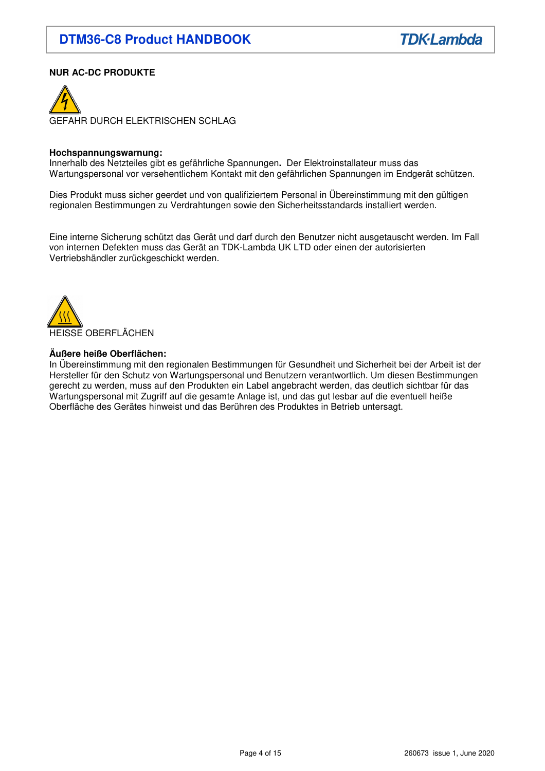## **NUR AC-DC PRODUKTE**



#### **Hochspannungswarnung:**

Innerhalb des Netzteiles gibt es gefährliche Spannungen**.** Der Elektroinstallateur muss das Wartungspersonal vor versehentlichem Kontakt mit den gefährlichen Spannungen im Endgerät schützen.

Dies Produkt muss sicher geerdet und von qualifiziertem Personal in Übereinstimmung mit den gültigen regionalen Bestimmungen zu Verdrahtungen sowie den Sicherheitsstandards installiert werden.

Eine interne Sicherung schützt das Gerät und darf durch den Benutzer nicht ausgetauscht werden. Im Fall von internen Defekten muss das Gerät an TDK-Lambda UK LTD oder einen der autorisierten Vertriebshändler zurückgeschickt werden.



#### **Äußere heiße Oberflächen:**

In Übereinstimmung mit den regionalen Bestimmungen für Gesundheit und Sicherheit bei der Arbeit ist der Hersteller für den Schutz von Wartungspersonal und Benutzern verantwortlich. Um diesen Bestimmungen gerecht zu werden, muss auf den Produkten ein Label angebracht werden, das deutlich sichtbar für das Wartungspersonal mit Zugriff auf die gesamte Anlage ist, und das gut lesbar auf die eventuell heiße Oberfläche des Gerätes hinweist und das Berühren des Produktes in Betrieb untersagt.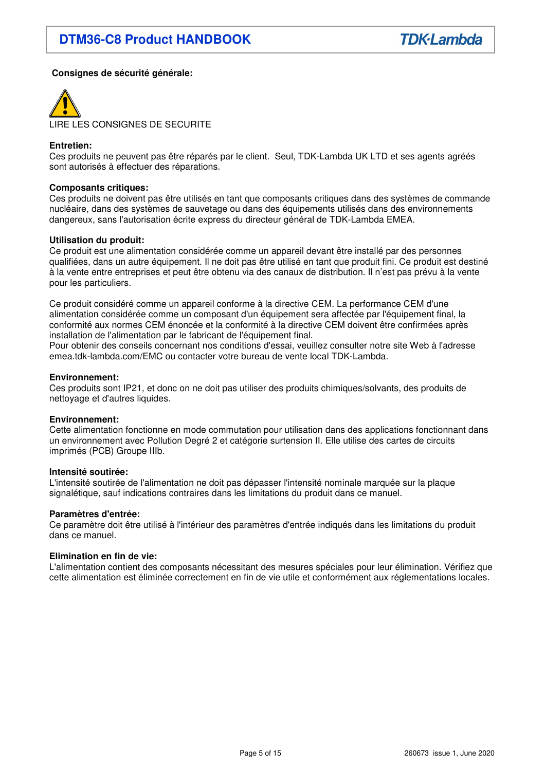## **Consignes de sécurité générale:**



LIRE LES CONSIGNES DE SECURITE

## **Entretien:**

Ces produits ne peuvent pas être réparés par le client. Seul, TDK-Lambda UK LTD et ses agents agréés sont autorisés à effectuer des réparations.

#### **Composants critiques:**

Ces produits ne doivent pas être utilisés en tant que composants critiques dans des systèmes de commande nucléaire, dans des systèmes de sauvetage ou dans des équipements utilisés dans des environnements dangereux, sans l'autorisation écrite express du directeur général de TDK-Lambda EMEA.

#### **Utilisation du produit:**

Ce produit est une alimentation considérée comme un appareil devant être installé par des personnes qualifiées, dans un autre équipement. Il ne doit pas être utilisé en tant que produit fini. Ce produit est destiné à la vente entre entreprises et peut être obtenu via des canaux de distribution. Il n'est pas prévu à la vente pour les particuliers.

Ce produit considéré comme un appareil conforme à la directive CEM. La performance CEM d'une alimentation considérée comme un composant d'un équipement sera affectée par l'équipement final, la conformité aux normes CEM énoncée et la conformité à la directive CEM doivent être confirmées après installation de l'alimentation par le fabricant de l'équipement final.

Pour obtenir des conseils concernant nos conditions d'essai, veuillez consulter notre site Web à l'adresse emea.tdk-lambda.com/EMC ou contacter votre bureau de vente local TDK-Lambda.

#### **Environnement:**

Ces produits sont IP21, et donc on ne doit pas utiliser des produits chimiques/solvants, des produits de nettoyage et d'autres liquides.

#### **Environnement:**

Cette alimentation fonctionne en mode commutation pour utilisation dans des applications fonctionnant dans un environnement avec Pollution Degré 2 et catégorie surtension II. Elle utilise des cartes de circuits imprimés (PCB) Groupe IIIb.

#### **Intensité soutirée:**

L'intensité soutirée de l'alimentation ne doit pas dépasser l'intensité nominale marquée sur la plaque signalétique, sauf indications contraires dans les limitations du produit dans ce manuel.

#### **Paramètres d'entrée:**

Ce paramètre doit être utilisé à l'intérieur des paramètres d'entrée indiqués dans les limitations du produit dans ce manuel.

#### **Elimination en fin de vie:**

L'alimentation contient des composants nécessitant des mesures spéciales pour leur élimination. Vérifiez que cette alimentation est éliminée correctement en fin de vie utile et conformément aux réglementations locales.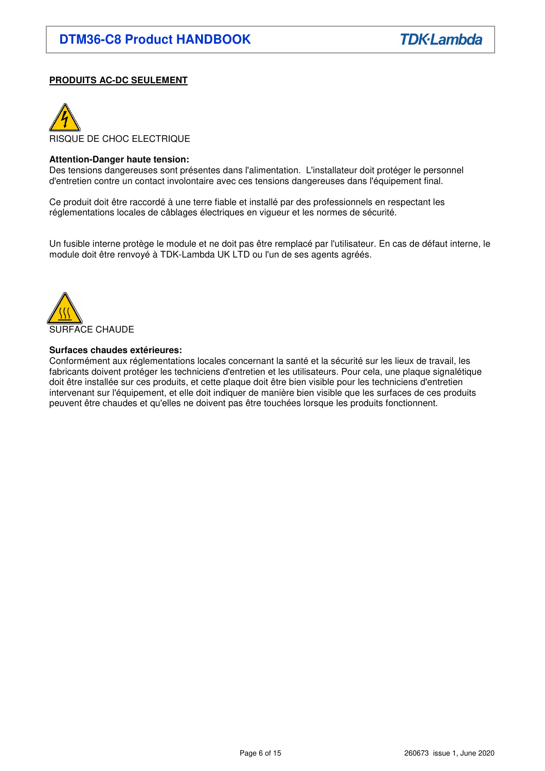## **PRODUITS AC-DC SEULEMENT**



### **Attention-Danger haute tension:**

Des tensions dangereuses sont présentes dans l'alimentation. L'installateur doit protéger le personnel d'entretien contre un contact involontaire avec ces tensions dangereuses dans l'équipement final.

Ce produit doit être raccordé à une terre fiable et installé par des professionnels en respectant les réglementations locales de câblages électriques en vigueur et les normes de sécurité.

Un fusible interne protège le module et ne doit pas être remplacé par l'utilisateur. En cas de défaut interne, le module doit être renvoyé à TDK-Lambda UK LTD ou l'un de ses agents agréés.



#### **Surfaces chaudes extérieures:**

Conformément aux réglementations locales concernant la santé et la sécurité sur les lieux de travail, les fabricants doivent protéger les techniciens d'entretien et les utilisateurs. Pour cela, une plaque signalétique doit être installée sur ces produits, et cette plaque doit être bien visible pour les techniciens d'entretien intervenant sur l'équipement, et elle doit indiquer de manière bien visible que les surfaces de ces produits peuvent être chaudes et qu'elles ne doivent pas être touchées lorsque les produits fonctionnent.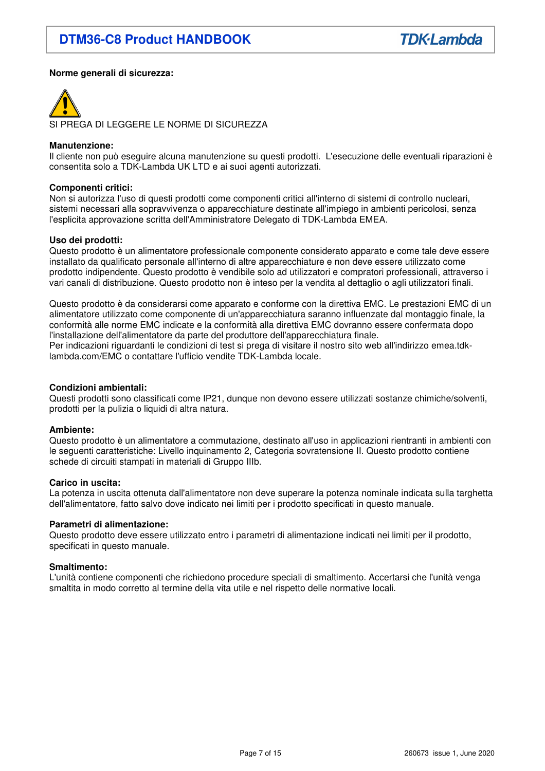## **Norme generali di sicurezza:**



SI PREGA DI LEGGERE LE NORME DI SICUREZZA

#### **Manutenzione:**

Il cliente non può eseguire alcuna manutenzione su questi prodotti. L'esecuzione delle eventuali riparazioni è consentita solo a TDK-Lambda UK LTD e ai suoi agenti autorizzati.

#### **Componenti critici:**

Non si autorizza l'uso di questi prodotti come componenti critici all'interno di sistemi di controllo nucleari, sistemi necessari alla sopravvivenza o apparecchiature destinate all'impiego in ambienti pericolosi, senza l'esplicita approvazione scritta dell'Amministratore Delegato di TDK-Lambda EMEA.

#### **Uso dei prodotti:**

Questo prodotto è un alimentatore professionale componente considerato apparato e come tale deve essere installato da qualificato personale all'interno di altre apparecchiature e non deve essere utilizzato come prodotto indipendente. Questo prodotto è vendibile solo ad utilizzatori e compratori professionali, attraverso i vari canali di distribuzione. Questo prodotto non è inteso per la vendita al dettaglio o agli utilizzatori finali.

Questo prodotto è da considerarsi come apparato e conforme con la direttiva EMC. Le prestazioni EMC di un alimentatore utilizzato come componente di un'apparecchiatura saranno influenzate dal montaggio finale, la conformità alle norme EMC indicate e la conformità alla direttiva EMC dovranno essere confermata dopo l'installazione dell'alimentatore da parte del produttore dell'apparecchiatura finale. Per indicazioni riguardanti le condizioni di test si prega di visitare il nostro sito web all'indirizzo emea.tdk-

lambda.com/EMC o contattare l'ufficio vendite TDK-Lambda locale.

#### **Condizioni ambientali:**

Questi prodotti sono classificati come IP21, dunque non devono essere utilizzati sostanze chimiche/solventi, prodotti per la pulizia o liquidi di altra natura.

#### **Ambiente:**

Questo prodotto è un alimentatore a commutazione, destinato all'uso in applicazioni rientranti in ambienti con le seguenti caratteristiche: Livello inquinamento 2, Categoria sovratensione II. Questo prodotto contiene schede di circuiti stampati in materiali di Gruppo IIIb.

#### **Carico in uscita:**

La potenza in uscita ottenuta dall'alimentatore non deve superare la potenza nominale indicata sulla targhetta dell'alimentatore, fatto salvo dove indicato nei limiti per i prodotto specificati in questo manuale.

#### **Parametri di alimentazione:**

Questo prodotto deve essere utilizzato entro i parametri di alimentazione indicati nei limiti per il prodotto, specificati in questo manuale.

#### **Smaltimento:**

L'unità contiene componenti che richiedono procedure speciali di smaltimento. Accertarsi che l'unità venga smaltita in modo corretto al termine della vita utile e nel rispetto delle normative locali.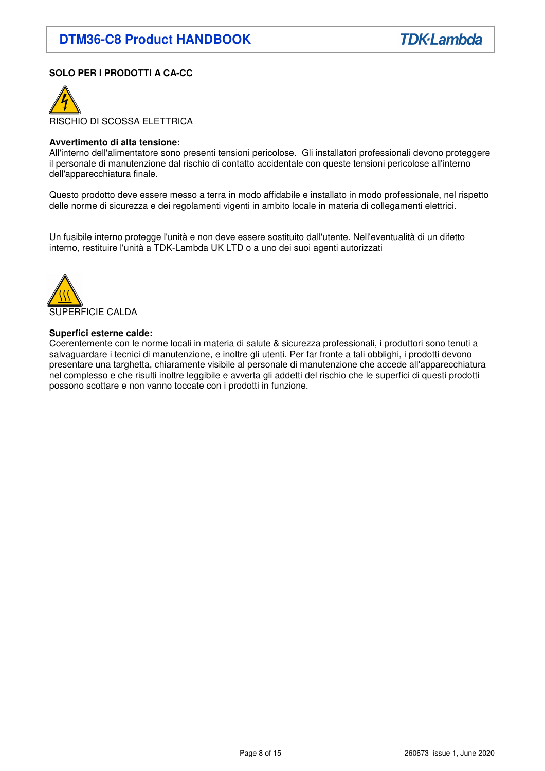## **SOLO PER I PRODOTTI A CA-CC**



#### **Avvertimento di alta tensione:**

All'interno dell'alimentatore sono presenti tensioni pericolose. Gli installatori professionali devono proteggere il personale di manutenzione dal rischio di contatto accidentale con queste tensioni pericolose all'interno dell'apparecchiatura finale.

Questo prodotto deve essere messo a terra in modo affidabile e installato in modo professionale, nel rispetto delle norme di sicurezza e dei regolamenti vigenti in ambito locale in materia di collegamenti elettrici.

Un fusibile interno protegge l'unità e non deve essere sostituito dall'utente. Nell'eventualità di un difetto interno, restituire l'unità a TDK-Lambda UK LTD o a uno dei suoi agenti autorizzati



#### **Superfici esterne calde:**

Coerentemente con le norme locali in materia di salute & sicurezza professionali, i produttori sono tenuti a salvaguardare i tecnici di manutenzione, e inoltre gli utenti. Per far fronte a tali obblighi, i prodotti devono presentare una targhetta, chiaramente visibile al personale di manutenzione che accede all'apparecchiatura nel complesso e che risulti inoltre leggibile e avverta gli addetti del rischio che le superfici di questi prodotti possono scottare e non vanno toccate con i prodotti in funzione.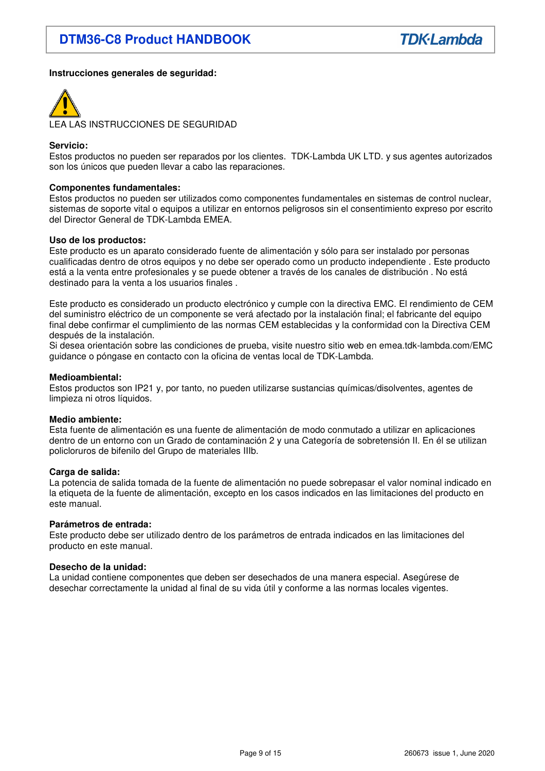## **Instrucciones generales de seguridad:**



LEA LAS INSTRUCCIONES DE SEGURIDAD

### **Servicio:**

Estos productos no pueden ser reparados por los clientes. TDK-Lambda UK LTD. y sus agentes autorizados son los únicos que pueden llevar a cabo las reparaciones.

#### **Componentes fundamentales:**

Estos productos no pueden ser utilizados como componentes fundamentales en sistemas de control nuclear, sistemas de soporte vital o equipos a utilizar en entornos peligrosos sin el consentimiento expreso por escrito del Director General de TDK-Lambda EMEA.

#### **Uso de los productos:**

Este producto es un aparato considerado fuente de alimentación y sólo para ser instalado por personas cualificadas dentro de otros equipos y no debe ser operado como un producto independiente . Este producto está a la venta entre profesionales y se puede obtener a través de los canales de distribución . No está destinado para la venta a los usuarios finales .

Este producto es considerado un producto electrónico y cumple con la directiva EMC. El rendimiento de CEM del suministro eléctrico de un componente se verá afectado por la instalación final; el fabricante del equipo final debe confirmar el cumplimiento de las normas CEM establecidas y la conformidad con la Directiva CEM después de la instalación.

Si desea orientación sobre las condiciones de prueba, visite nuestro sitio web en emea.tdk-lambda.com/EMC guidance o póngase en contacto con la oficina de ventas local de TDK-Lambda.

#### **Medioambiental:**

Estos productos son IP21 y, por tanto, no pueden utilizarse sustancias químicas/disolventes, agentes de limpieza ni otros líquidos.

#### **Medio ambiente:**

Esta fuente de alimentación es una fuente de alimentación de modo conmutado a utilizar en aplicaciones dentro de un entorno con un Grado de contaminación 2 y una Categoría de sobretensión II. En él se utilizan policloruros de bifenilo del Grupo de materiales IIIb.

#### **Carga de salida:**

La potencia de salida tomada de la fuente de alimentación no puede sobrepasar el valor nominal indicado en la etiqueta de la fuente de alimentación, excepto en los casos indicados en las limitaciones del producto en este manual.

#### **Parámetros de entrada:**

Este producto debe ser utilizado dentro de los parámetros de entrada indicados en las limitaciones del producto en este manual.

#### **Desecho de la unidad:**

La unidad contiene componentes que deben ser desechados de una manera especial. Asegúrese de desechar correctamente la unidad al final de su vida útil y conforme a las normas locales vigentes.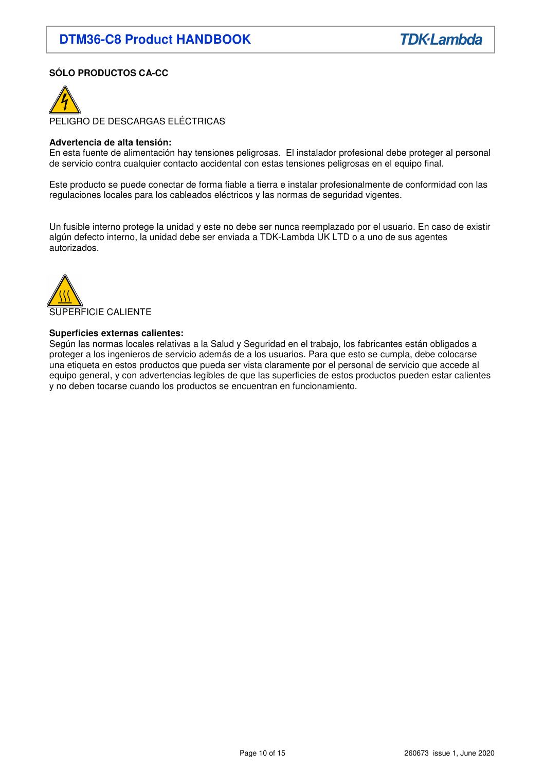## **SÓLO PRODUCTOS CA-CC**



PELIGRO DE DESCARGAS ELÉCTRICAS

#### **Advertencia de alta tensión:**

En esta fuente de alimentación hay tensiones peligrosas. El instalador profesional debe proteger al personal de servicio contra cualquier contacto accidental con estas tensiones peligrosas en el equipo final.

Este producto se puede conectar de forma fiable a tierra e instalar profesionalmente de conformidad con las regulaciones locales para los cableados eléctricos y las normas de seguridad vigentes.

Un fusible interno protege la unidad y este no debe ser nunca reemplazado por el usuario. En caso de existir algún defecto interno, la unidad debe ser enviada a TDK-Lambda UK LTD o a uno de sus agentes autorizados.



#### **Superficies externas calientes:**

Según las normas locales relativas a la Salud y Seguridad en el trabajo, los fabricantes están obligados a proteger a los ingenieros de servicio además de a los usuarios. Para que esto se cumpla, debe colocarse una etiqueta en estos productos que pueda ser vista claramente por el personal de servicio que accede al equipo general, y con advertencias legibles de que las superficies de estos productos pueden estar calientes y no deben tocarse cuando los productos se encuentran en funcionamiento.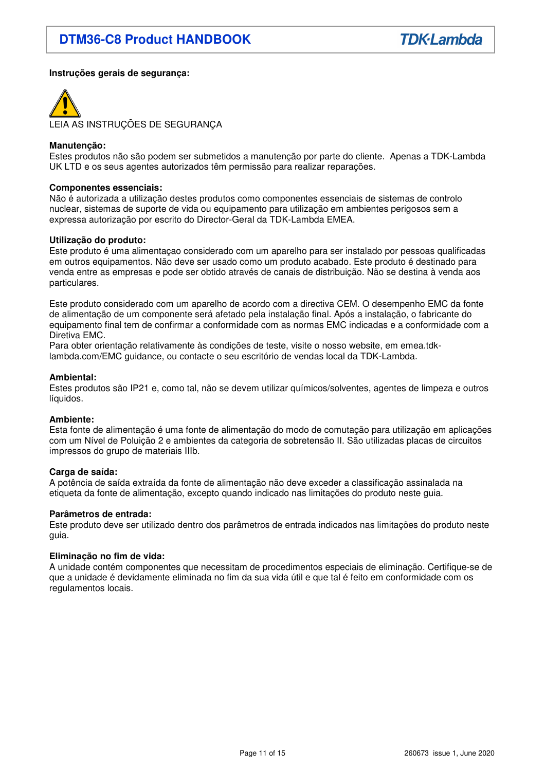## **Instruções gerais de segurança:**



LEIA AS INSTRUÇÕES DE SEGURANÇA

#### **Manutenção:**

Estes produtos não são podem ser submetidos a manutenção por parte do cliente. Apenas a TDK-Lambda UK LTD e os seus agentes autorizados têm permissão para realizar reparações.

#### **Componentes essenciais:**

Não é autorizada a utilização destes produtos como componentes essenciais de sistemas de controlo nuclear, sistemas de suporte de vida ou equipamento para utilização em ambientes perigosos sem a expressa autorização por escrito do Director-Geral da TDK-Lambda EMEA.

#### **Utilização do produto:**

Este produto é uma alimentaçao considerado com um aparelho para ser instalado por pessoas qualificadas em outros equipamentos. Não deve ser usado como um produto acabado. Este produto é destinado para venda entre as empresas e pode ser obtido através de canais de distribuição. Não se destina à venda aos particulares.

Este produto considerado com um aparelho de acordo com a directiva CEM. O desempenho EMC da fonte de alimentação de um componente será afetado pela instalação final. Após a instalação, o fabricante do equipamento final tem de confirmar a conformidade com as normas EMC indicadas e a conformidade com a Diretiva EMC.

Para obter orientação relativamente às condições de teste, visite o nosso website, em emea.tdklambda.com/EMC guidance, ou contacte o seu escritório de vendas local da TDK-Lambda.

#### **Ambiental:**

Estes produtos são IP21 e, como tal, não se devem utilizar químicos/solventes, agentes de limpeza e outros líquidos.

#### **Ambiente:**

Esta fonte de alimentação é uma fonte de alimentação do modo de comutação para utilização em aplicações com um Nível de Poluição 2 e ambientes da categoria de sobretensão II. São utilizadas placas de circuitos impressos do grupo de materiais IIIb.

#### **Carga de saída:**

A potência de saída extraída da fonte de alimentação não deve exceder a classificação assinalada na etiqueta da fonte de alimentação, excepto quando indicado nas limitações do produto neste guia.

#### **Parâmetros de entrada:**

Este produto deve ser utilizado dentro dos parâmetros de entrada indicados nas limitações do produto neste guia.

#### **Eliminação no fim de vida:**

A unidade contém componentes que necessitam de procedimentos especiais de eliminação. Certifique-se de que a unidade é devidamente eliminada no fim da sua vida útil e que tal é feito em conformidade com os regulamentos locais.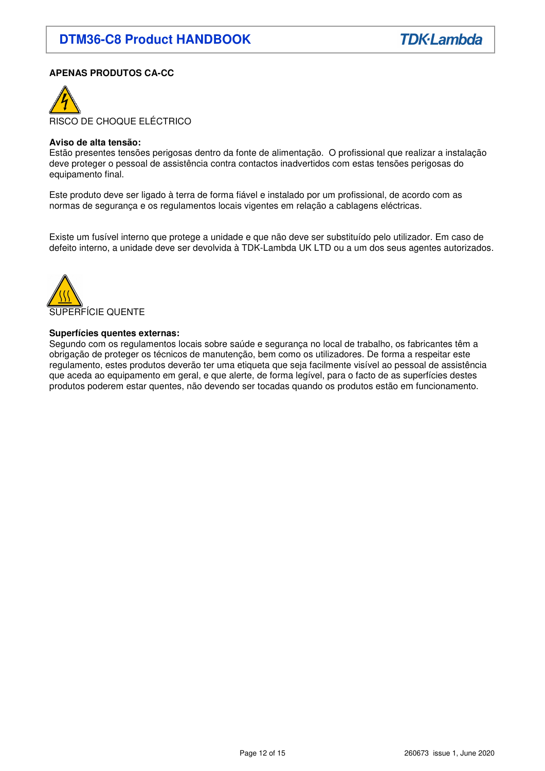## **APENAS PRODUTOS CA-CC**



#### **Aviso de alta tensão:**

Estão presentes tensões perigosas dentro da fonte de alimentação. O profissional que realizar a instalação deve proteger o pessoal de assistência contra contactos inadvertidos com estas tensões perigosas do equipamento final.

Este produto deve ser ligado à terra de forma fiável e instalado por um profissional, de acordo com as normas de segurança e os regulamentos locais vigentes em relação a cablagens eléctricas.

Existe um fusível interno que protege a unidade e que não deve ser substituído pelo utilizador. Em caso de defeito interno, a unidade deve ser devolvida à TDK-Lambda UK LTD ou a um dos seus agentes autorizados.



#### **Superfícies quentes externas:**

Segundo com os regulamentos locais sobre saúde e segurança no local de trabalho, os fabricantes têm a obrigação de proteger os técnicos de manutenção, bem como os utilizadores. De forma a respeitar este regulamento, estes produtos deverão ter uma etiqueta que seja facilmente visível ao pessoal de assistência que aceda ao equipamento em geral, e que alerte, de forma legível, para o facto de as superfícies destes produtos poderem estar quentes, não devendo ser tocadas quando os produtos estão em funcionamento.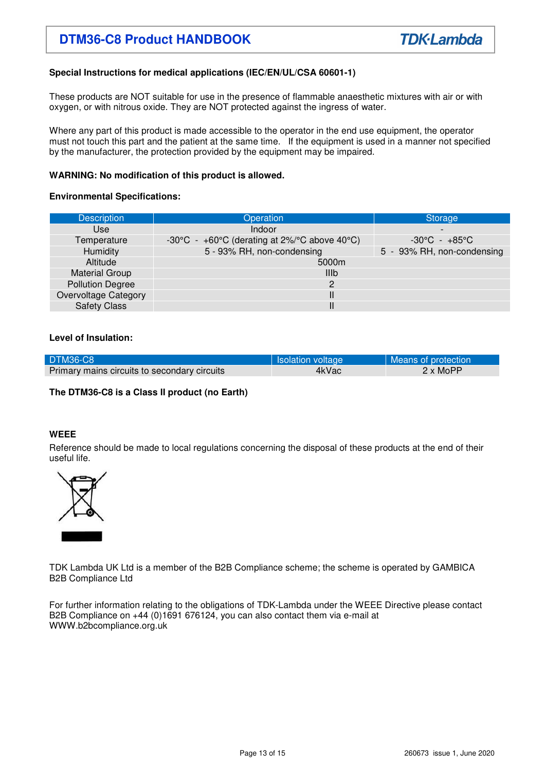## **DTM 36-C8 Product HANDBOOK**

## **Special Instructions for medical applications (IEC/EN/UL/CSA 60601-1)**

These products are NOT suitable for use in the presence of flammable anaesthetic mixtures with air or with oxygen, or with nitrous oxide. They are NOT protected against the ingress of water.

Where any part of this product is made accessible to the operator in the end use equipment, the operator must not touch this part and the patient at the same time. If the equipment is used in a manner not specified by the manufacturer, the protection provided by the equipment may be impaired.

## **WARNING: No modification of this product is allowed.**

## **Environmental Specifications:**

| <b>Description</b>          | Operation                                                                            | Storage                           |  |
|-----------------------------|--------------------------------------------------------------------------------------|-----------------------------------|--|
| Use                         | Indoor                                                                               |                                   |  |
| Temperature                 | -30 $\degree$ C - +60 $\degree$ C (derating at 2%/ $\degree$ C above 40 $\degree$ C) | $-30^{\circ}$ C - $+85^{\circ}$ C |  |
| <b>Humidity</b>             | 5 - 93% RH, non-condensing                                                           | 5 - 93% RH, non-condensing        |  |
| Altitude                    | 5000m                                                                                |                                   |  |
| <b>Material Group</b>       | <b>IIIb</b>                                                                          |                                   |  |
| <b>Pollution Degree</b>     | 2                                                                                    |                                   |  |
| <b>Overvoltage Category</b> | Ш                                                                                    |                                   |  |
| <b>Safety Class</b>         | Ш                                                                                    |                                   |  |

## **Level of Insulation:**

|                                              | <b>Isolation voltage</b> | Means of protection    |
|----------------------------------------------|--------------------------|------------------------|
| Primary mains circuits to secondary circuits | 4kVac                    | $2 \times \text{MoPP}$ |

## **The DTM36-C8 is a Class II product (no Earth)**

## **WEEE**

Reference should be made to local regulations concerning the disposal of these products at the end of their useful life.



TDK Lambda UK Ltd is a member of the B2B Compliance scheme; the scheme is operated by GAMBICA B2B Compliance Ltd

For further information relating to the obligations of TDK-Lambda under the WEEE Directive please contact B2B Compliance on +44 (0)1691 676124, you can also contact them via e-mail at WWW.b2bcompliance.org.uk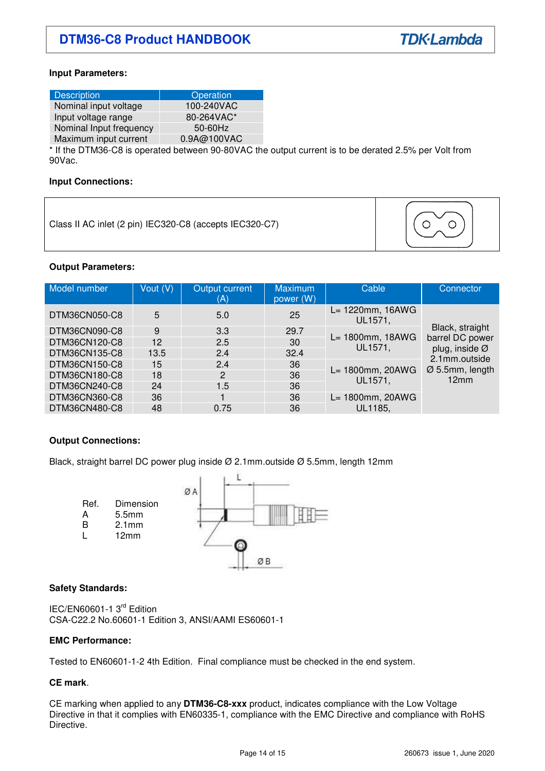## **Input Parameters:**

| <b>Description</b>      | Operation   |
|-------------------------|-------------|
| Nominal input voltage   | 100-240VAC  |
| Input voltage range     | 80-264VAC*  |
| Nominal Input frequency | $50-60$ Hz  |
| Maximum input current   | 0.9A@100VAC |

\* If the DTM36-C8 is operated between 90-80VAC the output current is to be derated 2.5% per Volt from 90Vac.

#### **Input Connections:**

Class II AC inlet (2 pin) IEC320-C8 (accepts IEC320-C7)



## **Output Parameters:**

| Model number  | Vout (V) | Output current<br>(A) | <b>Maximum</b><br>power (W) | Cable                       | Connector                                                                                        |
|---------------|----------|-----------------------|-----------------------------|-----------------------------|--------------------------------------------------------------------------------------------------|
| DTM36CN050-C8 | 5        | 5.0                   | 25                          | L= 1220mm, 16AWG<br>UL1571, |                                                                                                  |
| DTM36CN090-C8 | 9        | 3.3                   | 29.7                        | L= 1800mm, 18AWG<br>UL1571, | Black, straight<br>barrel DC power<br>plug, inside Ø<br>2.1mm.outside<br>Ø 5.5mm, length<br>12mm |
| DTM36CN120-C8 | 12       | 2.5                   | 30                          |                             |                                                                                                  |
| DTM36CN135-C8 | 13.5     | 2.4                   | 32.4                        |                             |                                                                                                  |
| DTM36CN150-C8 | 15       | 2.4                   | 36                          | L= 1800mm, 20AWG<br>UL1571, |                                                                                                  |
| DTM36CN180-C8 | 18       | 2                     | 36                          |                             |                                                                                                  |
| DTM36CN240-C8 | 24       | 1.5                   | 36                          |                             |                                                                                                  |
| DTM36CN360-C8 | 36       |                       | 36                          | L= 1800mm, 20AWG            |                                                                                                  |
| DTM36CN480-C8 | 48       | 0.75                  | 36                          | UL1185,                     |                                                                                                  |

## **Output Connections:**

Black, straight barrel DC power plug inside Ø 2.1mm.outside Ø 5.5mm, length 12mm



## **Safety Standards:**

IEC/EN60601-1 3<sup>rd</sup> Edition CSA-C22.2 No.60601-1 Edition 3, ANSI/AAMI ES60601-1

#### **EMC Performance:**

Tested to EN60601-1-2 4th Edition. Final compliance must be checked in the end system.

## **CE mark**.

CE marking when applied to any **DTM36-C8-xxx** product, indicates compliance with the Low Voltage Directive in that it complies with EN60335-1, compliance with the EMC Directive and compliance with RoHS Directive.